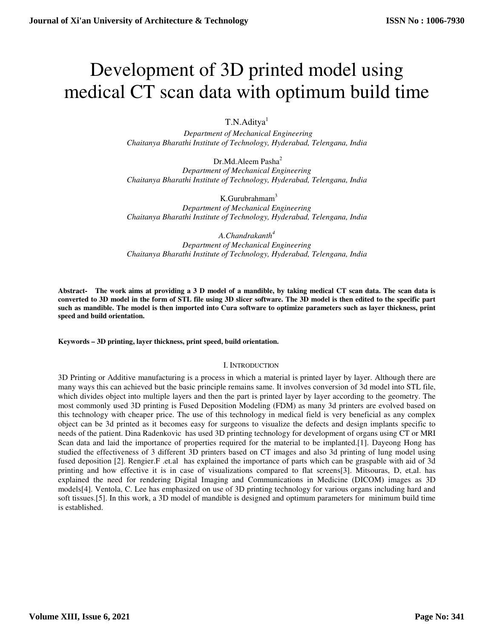# Development of 3D printed model using medical CT scan data with optimum build time

T.N.Aditya<sup>1</sup>

 *Department of Mechanical Engineering Chaitanya Bharathi Institute of Technology, Hyderabad, Telengana, India* 

Dr.Md.Aleem Pasha<sup>2</sup> *Department of Mechanical Engineering Chaitanya Bharathi Institute of Technology, Hyderabad, Telengana, India* 

K.Gurubrahmam<sup>3</sup> *Department of Mechanical Engineering Chaitanya Bharathi Institute of Technology, Hyderabad, Telengana, India* 

*A.Chandrakanth<sup>4</sup> Department of Mechanical Engineering Chaitanya Bharathi Institute of Technology, Hyderabad, Telengana, India* 

**Abstract- The work aims at providing a 3 D model of a mandible, by taking medical CT scan data. The scan data is converted to 3D model in the form of STL file using 3D slicer software. The 3D model is then edited to the specific part such as mandible. The model is then imported into Cura software to optimize parameters such as layer thickness, print speed and build orientation.** 

**Keywords – 3D printing, layer thickness, print speed, build orientation.** 

#### I. INTRODUCTION

3D Printing or Additive manufacturing is a process in which a material is printed layer by layer. Although there are many ways this can achieved but the basic principle remains same. It involves conversion of 3d model into STL file, which divides object into multiple layers and then the part is printed layer by layer according to the geometry. The most commonly used 3D printing is Fused Deposition Modeling (FDM) as many 3d printers are evolved based on this technology with cheaper price. The use of this technology in medical field is very beneficial as any complex object can be 3d printed as it becomes easy for surgeons to visualize the defects and design implants specific to needs of the patient. Dina Radenkovic has used 3D printing technology for development of organs using CT or MRI Scan data and laid the importance of properties required for the material to be implanted.[1]. Dayeong Hong has studied the effectiveness of 3 different 3D printers based on CT images and also 3d printing of lung model using fused deposition [2]. Rengier.F .et.al has explained the importance of parts which can be graspable with aid of 3d printing and how effective it is in case of visualizations compared to flat screens[3]. Mitsouras, D, et,al. has explained the need for rendering Digital Imaging and Communications in Medicine (DICOM) images as 3D models[4]. Ventola, C. Lee has emphasized on use of 3D printing technology for various organs including hard and soft tissues.[5]. In this work, a 3D model of mandible is designed and optimum parameters for minimum build time is established.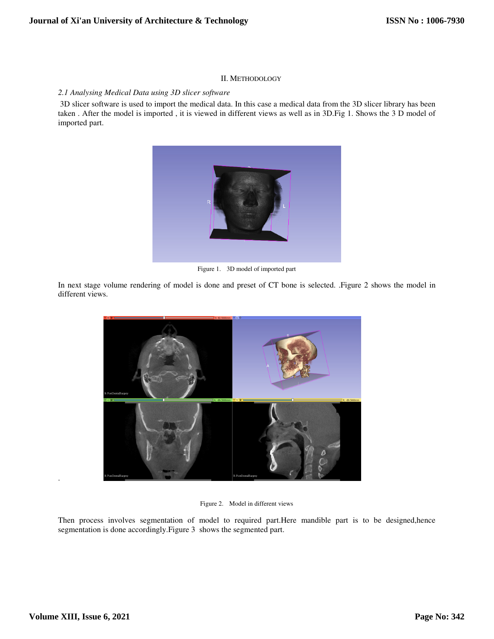## II. METHODOLOGY

## *2.1 Analysing Medical Data using 3D slicer software*

 3D slicer software is used to import the medical data. In this case a medical data from the 3D slicer library has been taken . After the model is imported , it is viewed in different views as well as in 3D.Fig 1. Shows the 3 D model of imported part.



Figure 1. 3D model of imported part

In next stage volume rendering of model is done and preset of CT bone is selected. .Figure 2 shows the model in different views.



Figure 2. Model in different views

Then process involves segmentation of model to required part.Here mandible part is to be designed,hence segmentation is done accordingly.Figure 3 shows the segmented part.

.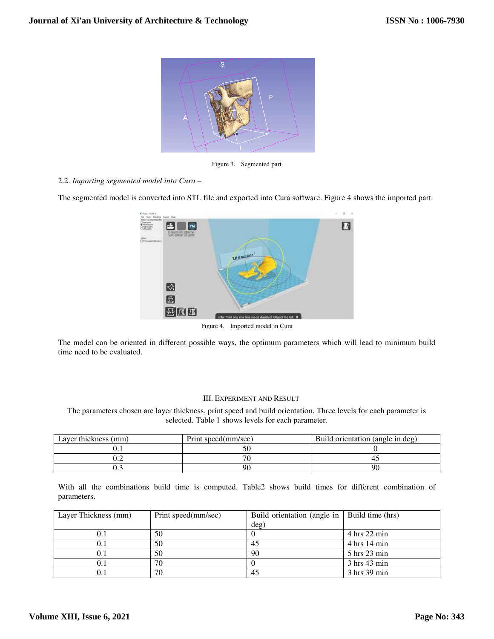

Figure 3. Segmented part

# 2.2. *Importing segmented model into Cura –*

The segmented model is converted into STL file and exported into Cura software. Figure 4 shows the imported part.



The model can be oriented in different possible ways, the optimum parameters which will lead to minimum build time need to be evaluated.

# III. EXPERIMENT AND RESULT

The parameters chosen are layer thickness, print speed and build orientation. Three levels for each parameter is selected. Table 1 shows levels for each parameter.

| Layer thickness (mm) | Print speed(mm/sec) | Build orientation (angle in deg) |
|----------------------|---------------------|----------------------------------|
|                      |                     |                                  |
| . <u>.</u>           |                     |                                  |
|                      | 90                  | 90                               |

With all the combinations build time is computed. Table2 shows build times for different combination of parameters.

| Layer Thickness (mm) | Print speed(mm/sec) | Build orientation (angle in   Build time (hrs) |                                |
|----------------------|---------------------|------------------------------------------------|--------------------------------|
|                      |                     | deg)                                           |                                |
| O. I                 | 50                  |                                                | $4 \text{ hrs} 22 \text{ min}$ |
|                      | 50                  | 45                                             | $4 \text{ hrs} 14 \text{ min}$ |
|                      | 50                  | 90                                             | 5 hrs 23 min                   |
|                      | 70                  |                                                | 3 hrs 43 min                   |
|                      | 70                  | 45                                             | 3 hrs 39 min                   |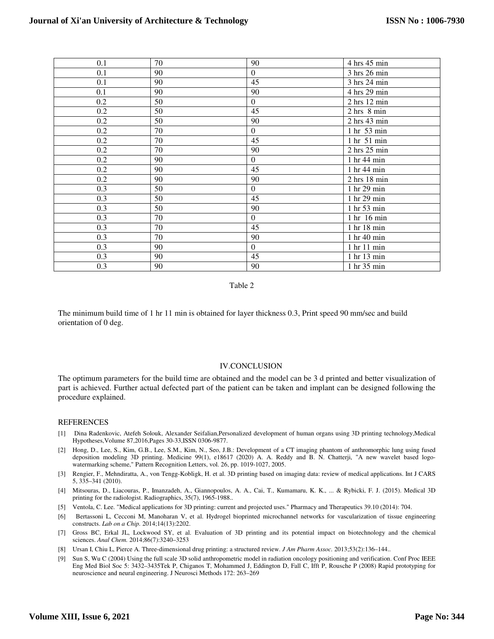| 0.1     | 70 | 90               | 4 hrs 45 min                  |
|---------|----|------------------|-------------------------------|
| 0.1     | 90 | $\mathbf{0}$     | 3 hrs 26 min                  |
| 0.1     | 90 | 45               | 3 hrs 24 min                  |
| 0.1     | 90 | 90               | 4 hrs 29 min                  |
| 0.2     | 50 | $\boldsymbol{0}$ | $2$ hrs $12$ min              |
| 0.2     | 50 | 45               | $2 hrs$ 8 min                 |
| 0.2     | 50 | 90               | $2$ hrs $43$ min              |
| $0.2\,$ | 70 | $\mathbf{0}$     | 1 hr 53 min                   |
| 0.2     | 70 | 45               | 1 hr 51 min                   |
| 0.2     | 70 | 90               | $2$ hrs $25$ min              |
| 0.2     | 90 | $\Omega$         | 1 hr 44 min                   |
| 0.2     | 90 | 45               | 1 hr 44 min                   |
| $0.2\,$ | 90 | 90               | $2$ hrs $18$ min              |
| 0.3     | 50 | $\Omega$         | 1 hr 29 min                   |
| 0.3     | 50 | 45               | 1 hr 29 min                   |
| 0.3     | 50 | 90               | $1 \text{ hr} 53 \text{ min}$ |
| 0.3     | 70 | $\Omega$         | 1 hr 16 min                   |
| 0.3     | 70 | 45               | 1 hr 18 min                   |
| 0.3     | 70 | 90               | 1 hr 40 min                   |
| 0.3     | 90 | $\overline{0}$   | 1 hr 11 min                   |
| 0.3     | 90 | 45               | 1 hr 13 min                   |
| 0.3     | 90 | 90               | 1 hr 35 min                   |

Table 2

The minimum build time of 1 hr 11 min is obtained for layer thickness 0.3, Print speed 90 mm/sec and build orientation of 0 deg.

#### IV.CONCLUSION

The optimum parameters for the build time are obtained and the model can be 3 d printed and better visualization of part is achieved. Further actual defected part of the patient can be taken and implant can be designed following the procedure explained.

#### REFERENCES

- [1] Dina Radenkovic, Atefeh Solouk, Alexander Seifalian,Personalized development of human organs using 3D printing technology,Medical Hypotheses,Volume 87,2016,Pages 30-33,ISSN 0306-9877.
- [2] Hong, D., Lee, S., Kim, G.B., Lee, S.M., Kim, N., Seo, J.B.: Development of a CT imaging phantom of anthromorphic lung using fused deposition modeling 3D printing. Medicine 99(1), e18617 (2020) A. A. Reddy and B. N. Chatterji, "A new wavelet based logowatermarking scheme," Pattern Recognition Letters, vol. 26, pp. 1019-1027, 2005.
- [3] Rengier, F., Mehndiratta, A., von Tengg-Kobligk, H. et al. 3D printing based on imaging data: review of medical applications. Int J CARS 5, 335–341 (2010).
- [4] Mitsouras, D., Liacouras, P., Imanzadeh, A., Giannopoulos, A. A., Cai, T., Kumamaru, K. K., ... & Rybicki, F. J. (2015). Medical 3D printing for the radiologist. Radiographics, 35(7), 1965-1988..
- [5] Ventola, C. Lee. "Medical applications for 3D printing: current and projected uses." Pharmacy and Therapeutics 39.10 (2014): 704.
- [6] Bertassoni L, Cecconi M, Manoharan V, et al. Hydrogel bioprinted microchannel networks for vascularization of tissue engineering constructs. *Lab on a Chip.* 2014;14(13):2202.
- [7] Gross BC, Erkal JL, Lockwood SY, et al. Evaluation of 3D printing and its potential impact on biotechnology and the chemical sciences. *Anal Chem.* 2014;86(7):3240–3253
- [8] Ursan I, Chiu L, Pierce A. Three-dimensional drug printing: a structured review. *J Am Pharm Assoc.* 2013;53(2):136–144..
- [9] Sun S, Wu C (2004) Using the full scale 3D solid anthropometric model in radiation oncology positioning and verification. Conf Proc IEEE Eng Med Biol Soc 5: 3432–3435Tek P, Chiganos T, Mohammed J, Eddington D, Fall C, Ifft P, Rousche P (2008) Rapid prototyping for neuroscience and neural engineering. J Neurosci Methods 172: 263–269